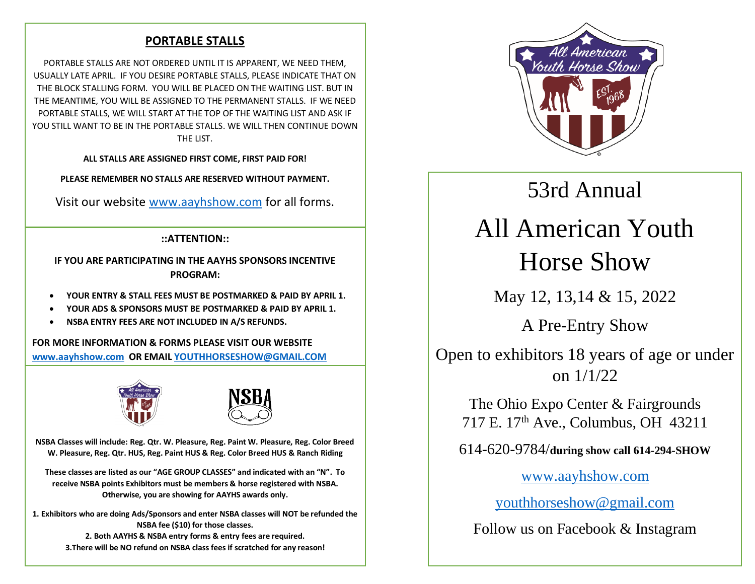# **PORTABLE STALLS**

PORTABLE STALLS ARE NOT ORDERED UNTIL IT IS APPARENT, WE NEED THEM, USUALLY LATE APRIL. IF YOU DESIRE PORTABLE STALLS, PLEASE INDICATE THAT ON THE BLOCK STALLING FORM. YOU WILL BE PLACED ON THE WAITING LIST. BUT IN THE MEANTIME, YOU WILL BE ASSIGNED TO THE PERMANENT STALLS. IF WE NEED PORTABLE STALLS, WE WILL START AT THE TOP OF THE WAITING LIST AND ASK IF YOU STILL WANT TO BE IN THE PORTABLE STALLS. WE WILL THEN CONTINUE DOWN THE LIST.

**ALL STALLS ARE ASSIGNED FIRST COME, FIRST PAID FOR!**

**PLEASE REMEMBER NO STALLS ARE RESERVED WITHOUT PAYMENT.**

Visit our website [www.aayhshow.com](about:blank) for all forms.

# **::ATTENTION::**

**IF YOU ARE PARTICIPATING IN THE AAYHS SPONSORS INCENTIVE PROGRAM:**

- **YOUR ENTRY & STALL FEES MUST BE POSTMARKED & PAID BY APRIL 1.**
- **YOUR ADS & SPONSORS MUST BE POSTMARKED & PAID BY APRIL 1.**
- **NSBA ENTRY FEES ARE NOT INCLUDED IN A/S REFUNDS.**

**FOR MORE INFORMATION & FORMS PLEASE VISIT OUR WEBSITE [www.aayhshow.com](about:blank) OR EMAIL [YOUTHHORSESHOW@GMAIL.COM](about:blank)**





**NSBA Classes will include: Reg. Qtr. W. Pleasure, Reg. Paint W. Pleasure, Reg. Color Breed W. Pleasure, Reg. Qtr. HUS, Reg. Paint HUS & Reg. Color Breed HUS & Ranch Riding**

**These classes are listed as our "AGE GROUP CLASSES" and indicated with an "N". To receive NSBA points Exhibitors must be members & horse registered with NSBA. Otherwise, you are showing for AAYHS awards only.** 

**1. Exhibitors who are doing Ads/Sponsors and enter NSBA classes will NOT be refunded the NSBA fee (\$10) for those classes. 2. Both AAYHS & NSBA entry forms & entry fees are required. 3.There will be NO refund on NSBA class fees if scratched for any reason!**



# 53rd Annual

# All American Youth Horse Show

May 12, 13,14 & 15, 2022

A Pre-Entry Show

Open to exhibitors 18 years of age or under on 1/1/22

The Ohio Expo Center & Fairgrounds 717 E. 17th Ave., Columbus, OH 43211

614-620-9784/**during show call 614-294-SHOW**

[www.aayhshow.com](about:blank)

[youthhorseshow@gmail.com](about:blank)

Follow us on Facebook & Instagram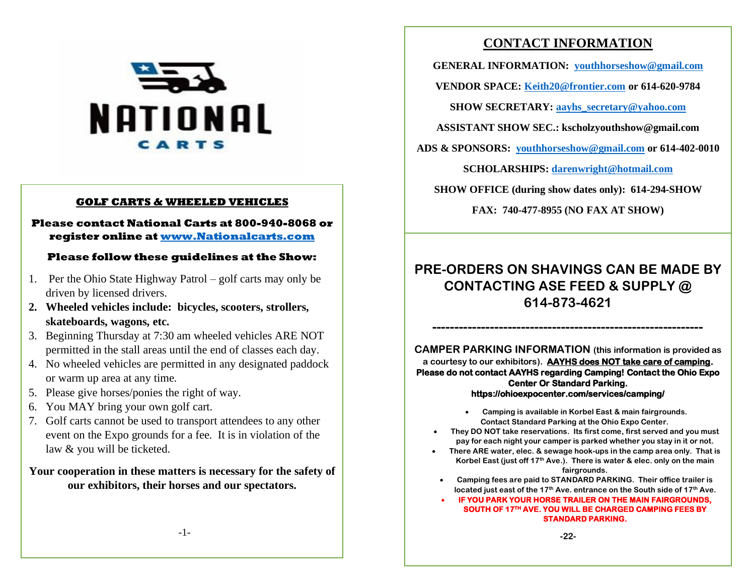

# **GOLF CARTS & WHEELED VEHICLES**

# **Please contact National Carts at 800-940-8068 or register online at www.Nationalcarts.com**

# **Please follow these guidelines at the Show:**

- 1. Per the Ohio State Highway Patrol golf carts may only be driven by licensed drivers.
- **2. Wheeled vehicles include: bicycles, scooters, strollers, skateboards, wagons, etc.**
- 3. Beginning Thursday at 7:30 am wheeled vehicles ARE NOT permitted in the stall areas until the end of classes each day.
- 4. No wheeled vehicles are permitted in any designated paddock or warm up area at any time.
- 5. Please give horses/ponies the right of way.
- 6. You MAY bring your own golf cart.
- 7. Golf carts cannot be used to transport attendees to any other event on the Expo grounds for a fee. It is in violation of the law & you will be ticketed.

# **Your cooperation in these matters is necessary for the safety of our exhibitors, their horses and our spectators.**

# **CONTACT INFORMATION**

**GENERAL INFORMATION: [youthhorseshow@gmail.com](about:blank)**

**VENDOR SPACE: [Keith20@frontier.com](about:blank) or 614-620-9784**

**SHOW SECRETARY: [aayhs\\_secretary@yahoo.com](mailto:aayhs_secretary@yahoo.com)**

**ASSISTANT SHOW SEC.: kscholzyouthshow@gmail.com**

**ADS & SPONSORS: [youthhorseshow@gmail.com](about:blank) or 614-402-0010**

**SCHOLARSHIPS: [darenwright@hotmail.com](about:blank)**

**SHOW OFFICE (during show dates only): 614-294-SHOW**

**FAX: 740-477-8955 (NO FAX AT SHOW)**

# **PRE-ORDERS ON SHAVINGS CAN BE MADE BY CONTACTING ASE FEED & SUPPLY @ 614-873-4621**

**-------------------------------------------------------------**

**CAMPER PARKING INFORMATION (this information is provided as a courtesy to our exhibitors). AAYHS does NOT take care of camping. Please do not contact AAYHS regarding Camping! Contact the Ohio Expo Center Or Standard Parking. https://ohioexpocenter.com/services/camping/**

- **Camping is available in Korbel East & main fairgrounds. Contact Standard Parking at the Ohio Expo Center.**
- **They DO NOT take reservations. Its first come, first served and you must pay for each night your camper is parked whether you stay in it or not.**
- **There ARE water, elec. & sewage hook-ups in the camp area only. That is Korbel East (just off 17th Ave.). There is water & elec. only on the main fairgrounds.**
	- **Camping fees are paid to STANDARD PARKING. Their office trailer is located just east of the 17th Ave. entrance on the South side of 17th Ave.**

• **IF YOU PARK YOUR HORSE TRAILER ON THE MAIN FAIRGROUNDS, SOUTH OF 17TH AVE. YOU WILL BE CHARGED CAMPING FEES BY STANDARD PARKING.**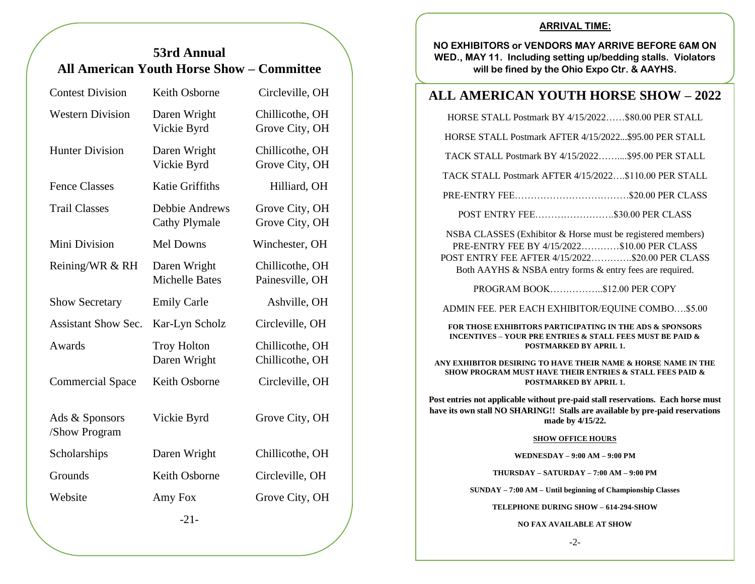# **53rd Annual All American Youth Horse Show – Committee**

| <b>Contest Division</b>         | Keith Osborne                          | Circleville, OH                    |
|---------------------------------|----------------------------------------|------------------------------------|
| <b>Western Division</b>         | Daren Wright<br>Vickie Byrd            | Chillicothe, OH<br>Grove City, OH  |
| <b>Hunter Division</b>          | Daren Wright<br>Vickie Byrd            | Chillicothe, OH<br>Grove City, OH  |
| <b>Fence Classes</b>            | <b>Katie Griffiths</b>                 | Hilliard, OH                       |
| <b>Trail Classes</b>            | Debbie Andrews<br><b>Cathy Plymale</b> | Grove City, OH<br>Grove City, OH   |
| Mini Division                   | Mel Downs                              | Winchester, OH                     |
| Reining/WR & RH                 | Daren Wright<br><b>Michelle Bates</b>  | Chillicothe, OH<br>Painesville, OH |
| <b>Show Secretary</b>           | <b>Emily Carle</b>                     | Ashville, OH                       |
| <b>Assistant Show Sec.</b>      | Kar-Lyn Scholz                         | Circleville, OH                    |
| Awards                          | <b>Troy Holton</b><br>Daren Wright     | Chillicothe, OH<br>Chillicothe, OH |
| <b>Commercial Space</b>         | Keith Osborne                          | Circleville, OH                    |
| Ads & Sponsors<br>/Show Program | Vickie Byrd                            | Grove City, OH                     |
| Scholarships                    | Daren Wright                           | Chillicothe, OH                    |
| Grounds                         | Keith Osborne                          | Circleville, OH                    |
| Website                         | Amy Fox                                | Grove City, OH                     |
|                                 | $-21-$                                 |                                    |

# **ARRIVAL TIME:**

**NO EXHIBITORS or VENDORS MAY ARRIVE BEFORE 6AM ON WED., MAY 11. Including setting up/bedding stalls. Violators will be fined by the Ohio Expo Ctr. & AAYHS.**

# **ALL AMERICAN YOUTH HORSE SHOW – 2022**

HORSE STALL Postmark BY 4/15/2022……\$80.00 PER STALL

HORSE STALL Postmark AFTER 4/15/2022...\$95.00 PER STALL

TACK STALL Postmark BY 4/15/2022……....\$95.00 PER STALL

TACK STALL Postmark AFTER 4/15/2022….\$110.00 PER STALL

PRE-ENTRY FEE………………………………\$20.00 PER CLASS

POST ENTRY FEE…………………….\$30.00 PER CLASS

NSBA CLASSES (Exhibitor & Horse must be registered members) PRE-ENTRY FEE BY 4/15/2022…………\$10.00 PER CLASS POST ENTRY FEE AFTER 4/15/2022………….\$20.00 PER CLASS Both AAYHS & NSBA entry forms & entry fees are required.

PROGRAM BOOK……………..\$12.00 PER COPY

ADMIN FEE. PER EACH EXHIBITOR/EQUINE COMBO….\$5.00

**FOR THOSE EXHIBITORS PARTICIPATING IN THE ADS & SPONSORS INCENTIVES – YOUR PRE ENTRIES & STALL FEES MUST BE PAID & POSTMARKED BY APRIL 1.** 

**ANY EXHIBITOR DESIRING TO HAVE THEIR NAME & HORSE NAME IN THE SHOW PROGRAM MUST HAVE THEIR ENTRIES & STALL FEES PAID & POSTMARKED BY APRIL 1.** 

**Post entries not applicable without pre-paid stall reservations. Each horse must have its own stall NO SHARING!! Stalls are available by pre-paid reservations made by 4/15/22.**

### **SHOW OFFICE HOURS**

**WEDNESDAY – 9:00 AM – 9:00 PM**

**THURSDAY – SATURDAY – 7:00 AM – 9:00 PM**

**SUNDAY – 7:00 AM – Until beginning of Championship Classes**

**TELEPHONE DURING SHOW – 614-294-SHOW**

**NO FAX AVAILABLE AT SHOW**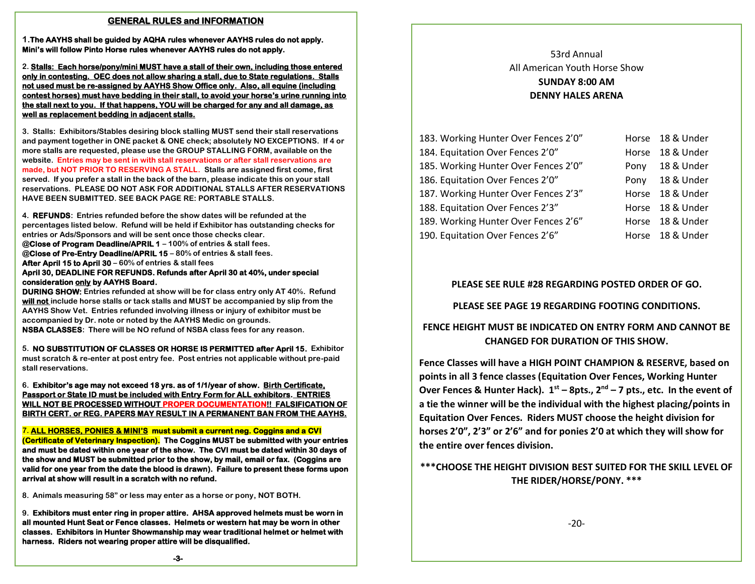### **GENERAL RULES and INFORMATION**

**1.The AAYHS shall be guided by AQHA rules whenever AAYHS rules do not apply. Mini's will follow Pinto Horse rules whenever AAYHS rules do not apply.** 

**2. Stalls: Each horse/pony/mini MUST have a stall of their own, including those entered only in contesting. OEC does not allow sharing a stall, due to State regulations. Stalls not used must be re-assigned by AAYHS Show Office only. Also, all equine (including contest horses) must have bedding in their stall, to avoid your horse's urine running into the stall next to you. If that happens, YOU will be charged for any and all damage, as well as replacement bedding in adjacent stalls.** 

**3. Stalls: Exhibitors/Stables desiring block stalling MUST send their stall reservations and payment together in ONE packet & ONE check; absolutely NO EXCEPTIONS. If 4 or more stalls are requested, please use the GROUP STALLING FORM, available on the website. Entries may be sent in with stall reservations or after stall reservations are made, but NOT PRIOR TO RESERVING A STALL. Stalls are assigned first come, first served. If you prefer a stall in the back of the barn, please indicate this on your stall reservations. PLEASE DO NOT ASK FOR ADDITIONAL STALLS AFTER RESERVATIONS HAVE BEEN SUBMITTED. SEE BACK PAGE RE: PORTABLE STALLS.**

**4. REFUNDS: Entries refunded before the show dates will be refunded at the percentages listed below. Refund will be held if Exhibitor has outstanding checks for entries or Ads/Sponsors and will be sent once those checks clear. @Close of Program Deadline/APRIL 1 – 100% of entries & stall fees. @Close of Pre-Entry Deadline/APRIL 15 – 80% of entries & stall fees. After April 15 to April 30 – 60% of entries & stall fees April 30, DEADLINE FOR REFUNDS. Refunds after April 30 at 40%, under special consideration only by AAYHS Board. DURING SHOW: Entries refunded at show will be for class entry only AT 40%. Refund will not include horse stalls or tack stalls and MUST be accompanied by slip from the** 

**AAYHS Show Vet. Entries refunded involving illness or injury of exhibitor must be accompanied by Dr. note or noted by the AAYHS Medic on grounds. NSBA CLASSES: There will be NO refund of NSBA class fees for any reason.**

**5. NO SUBSTITUTION OF CLASSES OR HORSE IS PERMITTED after April 15. Exhibitor must scratch & re-enter at post entry fee. Post entries not applicable without pre-paid stall reservations.**

**6. Exhibitor's age may not exceed 18 yrs. as of 1/1/year of show. Birth Certificate, Passport or State ID must be included with Entry Form for ALL exhibitors. ENTRIES WILL NOT BE PROCESSED WITHOUT PROPER DOCUMENTATION!! FALSIFICATION OF BIRTH CERT. or REG. PAPERS MAY RESULT IN A PERMANENT BAN FROM THE AAYHS.** 

**7. ALL HORSES, PONIES & MINI'S must submit a current neg. Coggins and a CVI (Certificate of Veterinary Inspection). The Coggins MUST be submitted with your entries and must be dated within one year of the show. The CVI must be dated within 30 days of the show and MUST be submitted prior to the show, by mail, email or fax. (Coggins are valid for one year from the date the blood is drawn). Failure to present these forms upon arrival at show will result in a scratch with no refund.** 

**8. Animals measuring 58" or less may enter as a horse or pony, NOT BOTH.**

**9. Exhibitors must enter ring in proper attire. AHSA approved helmets must be worn in all mounted Hunt Seat or Fence classes. Helmets or western hat may be worn in other classes. Exhibitors in Hunter Showmanship may wear traditional helmet or helmet with harness. Riders not wearing proper attire will be disqualified.** 

53rd Annual All American Youth Horse Show **SUNDAY 8:00 AM DENNY HALES ARENA**

| 183. Working Hunter Over Fences 2'0" |       | Horse 18 & Under |
|--------------------------------------|-------|------------------|
| 184. Equitation Over Fences 2'0"     | Horse | 18 & Under       |
| 185. Working Hunter Over Fences 2'0" | Pony  | 18 & Under       |
| 186. Equitation Over Fences 2'0"     | Pony  | 18 & Under       |
| 187. Working Hunter Over Fences 2'3" | Horse | 18 & Under       |
| 188. Equitation Over Fences 2'3"     |       | Horse 18 & Under |
| 189. Working Hunter Over Fences 2'6" |       | Horse 18 & Under |
| 190. Equitation Over Fences 2'6"     |       | Horse 18 & Under |

# **PLEASE SEE RULE #28 REGARDING POSTED ORDER OF GO.**

# **PLEASE SEE PAGE 19 REGARDING FOOTING CONDITIONS.**

# **FENCE HEIGHT MUST BE INDICATED ON ENTRY FORM AND CANNOT BE CHANGED FOR DURATION OF THIS SHOW.**

**Fence Classes will have a HIGH POINT CHAMPION & RESERVE, based on points in all 3 fence classes (Equitation Over Fences, Working Hunter Over Fences & Hunter Hack). 1st – 8pts., 2nd – 7 pts., etc. In the event of a tie the winner will be the individual with the highest placing/points in Equitation Over Fences. Riders MUST choose the height division for horses 2'0", 2'3" or 2'6" and for ponies 2'0 at which they will show for the entire over fences division.**

# **\*\*\*CHOOSE THE HEIGHT DIVISION BEST SUITED FOR THE SKILL LEVEL OF THE RIDER/HORSE/PONY. \*\*\***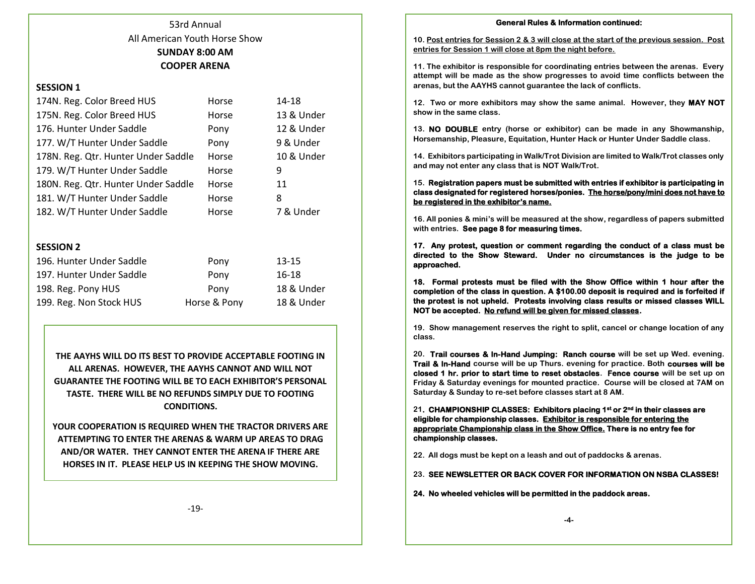# 53rd Annual All American Youth Horse Show **SUNDAY 8:00 AM COOPER ARENA**

### **SESSION 1**

| 174N. Reg. Color Breed HUS          | Horse | 14-18      |
|-------------------------------------|-------|------------|
| 175N. Reg. Color Breed HUS          | Horse | 13 & Under |
| 176. Hunter Under Saddle            | Pony  | 12 & Under |
| 177. W/T Hunter Under Saddle        | Pony  | 9 & Under  |
| 178N. Reg. Qtr. Hunter Under Saddle | Horse | 10 & Under |
| 179. W/T Hunter Under Saddle        | Horse | 9          |
| 180N. Reg. Qtr. Hunter Under Saddle | Horse | 11         |
| 181. W/T Hunter Under Saddle        | Horse | 8          |
| 182. W/T Hunter Under Saddle        | Horse | 7 & Under  |

### **SESSION 2**

| 196. Hunter Under Saddle | Pony         | $13 - 15$  |
|--------------------------|--------------|------------|
| 197. Hunter Under Saddle | Pony         | 16-18      |
| 198. Reg. Pony HUS       | Pony         | 18 & Under |
| 199. Reg. Non Stock HUS  | Horse & Pony | 18 & Under |

**THE AAYHS WILL DO ITS BEST TO PROVIDE ACCEPTABLE FOOTING IN ALL ARENAS. HOWEVER, THE AAYHS CANNOT AND WILL NOT GUARANTEE THE FOOTING WILL BE TO EACH EXHIBITOR'S PERSONAL TASTE. THERE WILL BE NO REFUNDS SIMPLY DUE TO FOOTING CONDITIONS.**

**YOUR COOPERATION IS REQUIRED WHEN THE TRACTOR DRIVERS ARE ATTEMPTING TO ENTER THE ARENAS & WARM UP AREAS TO DRAG AND/OR WATER. THEY CANNOT ENTER THE ARENA IF THERE ARE HORSES IN IT. PLEASE HELP US IN KEEPING THE SHOW MOVING.** 

**General Rules & Information continued:** 

**10. Post entries for Session 2 & 3 will close at the start of the previous session. Post entries for Session 1 will close at 8pm the night before.**

**11. The exhibitor is responsible for coordinating entries between the arenas. Every attempt will be made as the show progresses to avoid time conflicts between the arenas, but the AAYHS cannot guarantee the lack of conflicts.**

**12. Two or more exhibitors may show the same animal. However, they MAY NOT show in the same class.**

**13. NO DOUBLE entry (horse or exhibitor) can be made in any Showmanship, Horsemanship, Pleasure, Equitation, Hunter Hack or Hunter Under Saddle class.**

**14. Exhibitors participating in Walk/Trot Division are limited to Walk/Trot classes only and may not enter any class that is NOT Walk/Trot.**

**15. Registration papers must be submitted with entries if exhibitor is participating in class designated for registered horses/ponies. The horse/pony/mini does not have to be registered in the exhibitor's name.** 

**16. All ponies & mini's will be measured at the show, regardless of papers submitted with entries. See page 8 for measuring times.**

**17. Any protest, question or comment regarding the conduct of a class must be directed to the Show Steward. Under no circumstances is the judge to be approached.** 

**18. Formal protests must be filed with the Show Office within 1 hour after the completion of the class in question. A \$100.00 deposit is required and is forfeited if the protest is not upheld. Protests involving class results or missed classes WILL NOT be accepted. No refund will be given for missed classes.** 

**19. Show management reserves the right to split, cancel or change location of any class.** 

**20. Trail courses & In-Hand Jumping: Ranch course will be set up Wed. evening. Trail & In-Hand course will be up Thurs. evening for practice. Both courses will be closed 1 hr. prior to start time to reset obstacles. Fence course will be set up on Friday & Saturday evenings for mounted practice. Course will be closed at 7AM on Saturday & Sunday to re-set before classes start at 8 AM.**

**21. CHAMPIONSHIP CLASSES: Exhibitors placing 1st or 2nd in their classes are eligible for championship classes. Exhibitor is responsible for entering the appropriate Championship class in the Show Office. There is no entry fee for championship classes.** 

**22. All dogs must be kept on a leash and out of paddocks & arenas.**

**23. SEE NEWSLETTER OR BACK COVER FOR INFORMATION ON NSBA CLASSES!** 

**24. No wheeled vehicles will be permitted in the paddock areas.**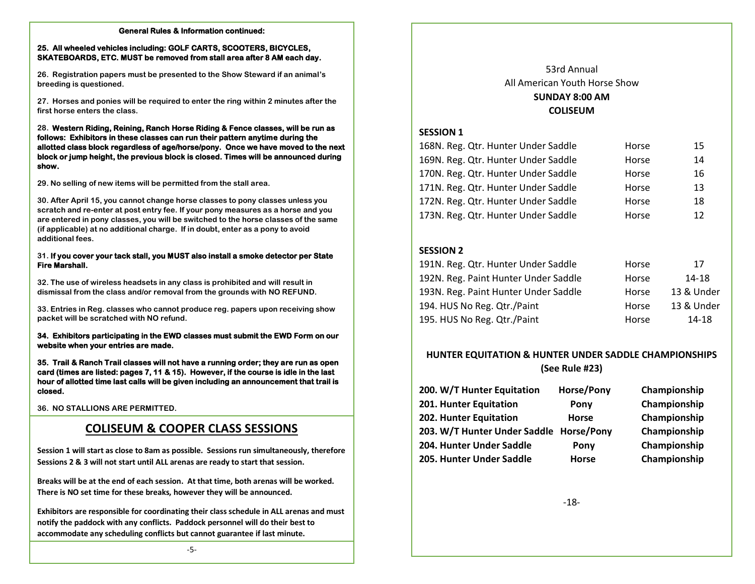#### **General Rules & Information continued:**

### **25. All wheeled vehicles including: GOLF CARTS, SCOOTERS, BICYCLES, SKATEBOARDS, ETC. MUST be removed from stall area after 8 AM each day.**

**26. Registration papers must be presented to the Show Steward if an animal's breeding is questioned.** 

**27. Horses and ponies will be required to enter the ring within 2 minutes after the first horse enters the class.** 

### **28. Western Riding, Reining, Ranch Horse Riding & Fence classes, will be run as follows: Exhibitors in these classes can run their pattern anytime during the allotted class block regardless of age/horse/pony. Once we have moved to the next block or jump height, the previous block is closed. Times will be announced during show.**

**29. No selling of new items will be permitted from the stall area.** 

**30. After April 15, you cannot change horse classes to pony classes unless you scratch and re-enter at post entry fee. If your pony measures as a horse and you are entered in pony classes, you will be switched to the horse classes of the same (if applicable) at no additional charge. If in doubt, enter as a pony to avoid additional fees.**

### **31. If you cover your tack stall, you MUST also install a smoke detector per State Fire Marshall.**

**32. The use of wireless headsets in any class is prohibited and will result in dismissal from the class and/or removal from the grounds with NO REFUND.**

**33. Entries in Reg. classes who cannot produce reg. papers upon receiving show packet will be scratched with NO refund.**

### **34. Exhibitors participating in the EWD classes must submit the EWD Form on our website when your entries are made.**

**35. Trail & Ranch Trail classes will not have a running order; they are run as open card (times are listed: pages 7, 11 & 15). However, if the course is idle in the last hour of allotted time last calls will be given including an announcement that trail is closed.**

**36. NO STALLIONS ARE PERMITTED.**

# **COLISEUM & COOPER CLASS SESSIONS**

**Session 1 will start as close to 8am as possible. Sessions run simultaneously, therefore Sessions 2 & 3 will not start until ALL arenas are ready to start that session.**

 **There is NO set time for these breaks, however they will be announced. Breaks will be at the end of each session. At that time, both arenas will be worked.** 

**Exhibitors are responsible for coordinating their class schedule in ALL arenas and must notify the paddock with any conflicts. Paddock personnel will do their best to accommodate any scheduling conflicts but cannot guarantee if last minute.**

# 53rd Annual All American Youth Horse Show **SUNDAY 8:00 AM COLISEUM**

# **SESSION 1**

| 168N. Reg. Qtr. Hunter Under Saddle | Horse | 15 |
|-------------------------------------|-------|----|
| 169N. Reg. Qtr. Hunter Under Saddle | Horse | 14 |
| 170N. Reg. Qtr. Hunter Under Saddle | Horse | 16 |
| 171N. Reg. Qtr. Hunter Under Saddle | Horse | 13 |
| 172N. Reg. Qtr. Hunter Under Saddle | Horse | 18 |
| 173N. Reg. Qtr. Hunter Under Saddle | Horse | 12 |

# **SESSION 2**

| 191N. Reg. Qtr. Hunter Under Saddle  | Horse | 17         |
|--------------------------------------|-------|------------|
| 192N. Reg. Paint Hunter Under Saddle | Horse | 14-18      |
| 193N. Reg. Paint Hunter Under Saddle | Horse | 13 & Under |
| 194. HUS No Reg. Qtr./Paint          | Horse | 13 & Under |
| 195. HUS No Reg. Qtr./Paint          | Horse | 14-18      |

# **HUNTER EQUITATION & HUNTER UNDER SADDLE CHAMPIONSHIPS (See Rule #23)**

| 200. W/T Hunter Equitation              | Horse/Pony   | Championship |
|-----------------------------------------|--------------|--------------|
| 201. Hunter Equitation                  | Pony         | Championship |
| 202. Hunter Equitation                  | <b>Horse</b> | Championship |
| 203. W/T Hunter Under Saddle Horse/Pony |              | Championship |
| 204. Hunter Under Saddle                | Pony         | Championship |
| 205. Hunter Under Saddle                | <b>Horse</b> | Championship |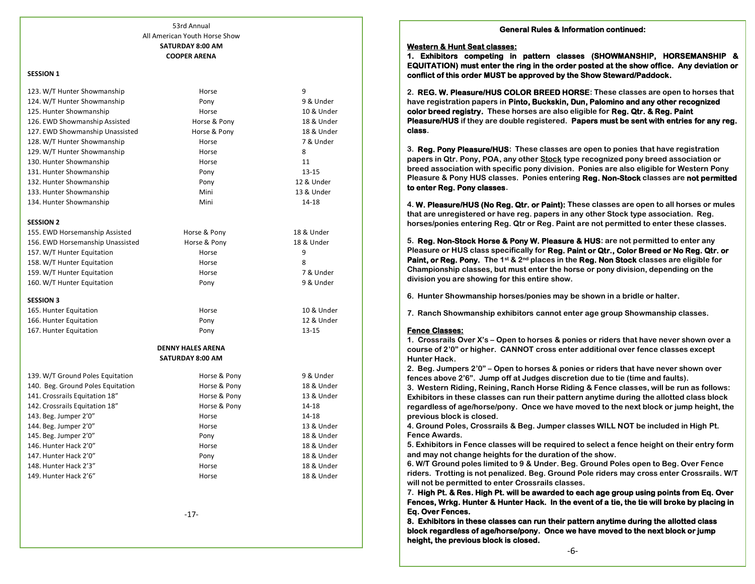### 53rd Annual All American Youth Horse Show **SATURDAY 8:00 AM COOPER ARENA**

#### **SESSION 1**

| 123. W/T Hunter Showmanship       | Horse                    | 9          |
|-----------------------------------|--------------------------|------------|
| 124. W/T Hunter Showmanship       | Pony                     | 9 & Under  |
| 125. Hunter Showmanship           | Horse                    | 10 & Under |
| 126. EWD Showmanship Assisted     | Horse & Pony             | 18 & Under |
| 127. EWD Showmanship Unassisted   | Horse & Pony             | 18 & Under |
| 128. W/T Hunter Showmanship       | Horse                    | 7 & Under  |
| 129. W/T Hunter Showmanship       | Horse                    | 8          |
| 130. Hunter Showmanship           | Horse                    | 11         |
| 131. Hunter Showmanship           | Pony                     | $13 - 15$  |
| 132. Hunter Showmanship           | Pony                     | 12 & Under |
| 133. Hunter Showmanship           | Mini                     | 13 & Under |
| 134. Hunter Showmanship           | Mini                     | 14-18      |
| <b>SESSION 2</b>                  |                          |            |
| 155. EWD Horsemanship Assisted    | Horse & Pony             | 18 & Under |
| 156. EWD Horsemanship Unassisted  | Horse & Pony             | 18 & Under |
| 157. W/T Hunter Equitation        | Horse                    | 9          |
| 158. W/T Hunter Equitation        | Horse                    | 8          |
| 159. W/T Hunter Equitation        | Horse                    | 7 & Under  |
| 160. W/T Hunter Equitation        | Pony                     | 9 & Under  |
| <b>SESSION 3</b>                  |                          |            |
| 165. Hunter Equitation            | Horse                    | 10 & Under |
| 166. Hunter Equitation            | Pony                     | 12 & Under |
| 167. Hunter Equitation            | Pony                     | $13 - 15$  |
|                                   | <b>DENNY HALES ARENA</b> |            |
|                                   | <b>SATURDAY 8:00 AM</b>  |            |
| 139. W/T Ground Poles Equitation  | Horse & Pony             | 9 & Under  |
| 140. Beg. Ground Poles Equitation | Horse & Pony             | 18 & Under |
| 141. Crossrails Equitation 18"    | Horse & Pony             | 13 & Under |
| 142. Crossrails Equitation 18"    | Horse & Pony             | 14-18      |
| 143. Beg. Jumper 2'0"             | Horse                    | 14-18      |
| 144. Beg. Jumper 2'0"             | Horse                    | 13 & Under |
| 145. Beg. Jumper 2'0"             | Pony                     | 18 & Under |
| 146. Hunter Hack 2'0"             | Horse                    | 18 & Under |
| 147. Hunter Hack 2'0"             | Pony                     | 18 & Under |
| 148. Hunter Hack 2'3"             | Horse                    | 18 & Under |
| 149. Hunter Hack 2'6"             | Horse                    | 18 & Under |
|                                   |                          |            |

-17-

#### **General Rules & Information continued:**

#### **Western & Hunt Seat classes:**

**1. Exhibitors competing in pattern classes (SHOWMANSHIP, HORSEMANSHIP & EQUITATION) must enter the ring in the order posted at the show office. Any deviation or conflict of this order MUST be approved by the Show Steward/Paddock.** 

**2. REG. W. Pleasure/HUS COLOR BREED HORSE: These classes are open to horses that have registration papers in Pinto, Buckskin, Dun, Palomino and any other recognized color breed registry. These horses are also eligible for Reg. Qtr. & Reg. Paint Pleasure/HUS if they are double registered. Papers must be sent with entries for any reg. class.**

**3. Reg. Pony Pleasure/HUS: These classes are open to ponies that have registration papers in Qtr. Pony, POA, any other Stock type recognized pony breed association or breed association with specific pony division. Ponies are also eligible for Western Pony Pleasure & Pony HUS classes. Ponies entering Reg. Non-Stock classes are not permitted to enter Reg. Pony classes.**

**4. W. Pleasure/HUS (No Reg. Qtr. or Paint): These classes are open to all horses or mules that are unregistered or have reg. papers in any other Stock type association. Reg. horses/ponies entering Reg. Qtr or Reg. Paint are not permitted to enter these classes.**

**5. Reg. Non-Stock Horse & Pony W. Pleasure & HUS: are not permitted to enter any Pleasure or HUS class specifically for Reg. Paint or Qtr., Color Breed or No Reg. Qtr. or Paint, or Reg. Pony.** The 1<sup>st</sup> & 2<sup>nd</sup> places in the **Reg. Non Stock** classes are eligible for **Championship classes, but must enter the horse or pony division, depending on the division you are showing for this entire show.** 

**6. Hunter Showmanship horses/ponies may be shown in a bridle or halter.**

**7. Ranch Showmanship exhibitors cannot enter age group Showmanship classes.**

#### **Fence Classes:**

**1. Crossrails Over X's – Open to horses & ponies or riders that have never shown over a course of 2'0" or higher. CANNOT cross enter additional over fence classes except Hunter Hack.**

**2. Beg. Jumpers 2'0" – Open to horses & ponies or riders that have never shown over fences above 2'6". Jump off at Judges discretion due to tie (time and faults).**

**3. Western Riding, Reining, Ranch Horse Riding & Fence classes, will be run as follows: Exhibitors in these classes can run their pattern anytime during the allotted class block regardless of age/horse/pony. Once we have moved to the next block or jump height, the previous block is closed.**

**4. Ground Poles, Crossrails & Beg. Jumper classes WILL NOT be included in High Pt. Fence Awards.**

**5. Exhibitors in Fence classes will be required to select a fence height on their entry form and may not change heights for the duration of the show.**

**6. W/T Ground poles limited to 9 & Under. Beg. Ground Poles open to Beg. Over Fence riders. Trotting is not penalized. Beg. Ground Pole riders may cross enter Crossrails. W/T will not be permitted to enter Crossrails classes.**

**7. High Pt. & Res. High Pt. will be awarded to each age group using points from Eq. Over Fences, Wrkg. Hunter & Hunter Hack. In the event of a tie, the tie will broke by placing in Eq. Over Fences.** 

**8. Exhibitors in these classes can run their pattern anytime during the allotted class block regardless of age/horse/pony. Once we have moved to the next block or jump height, the previous block is closed.**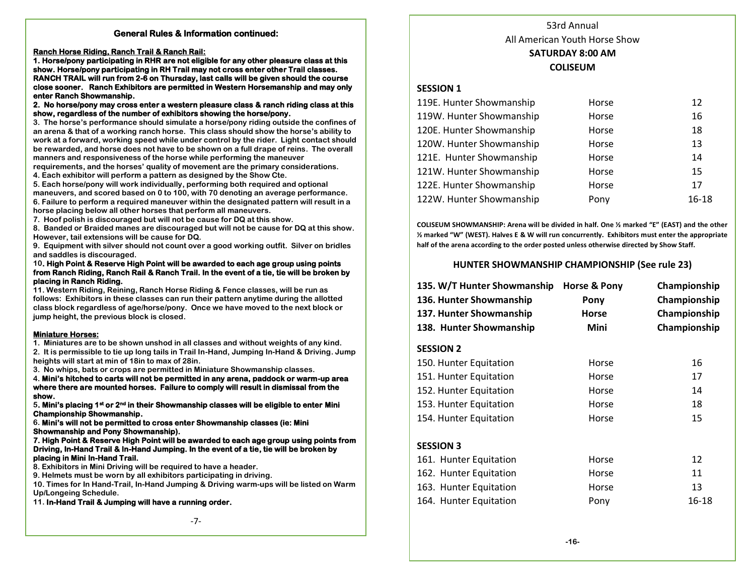### **General Rules & Information continued:**

**Ranch Horse Riding, Ranch Trail & Ranch Rail:** 

**1. Horse/pony participating in RHR are not eligible for any other pleasure class at this show. Horse/pony participating in RH Trail may not cross enter other Trail classes. RANCH TRAIL will run from 2-6 on Thursday, last calls will be given should the course close sooner. Ranch Exhibitors are permitted in Western Horsemanship and may only enter Ranch Showmanship.** 

**2. No horse/pony may cross enter a western pleasure class & ranch riding class at this show, regardless of the number of exhibitors showing the horse/pony.** 

**3. The horse's performance should simulate a horse/pony riding outside the confines of an arena & that of a working ranch horse. This class should show the horse's ability to work at a forward, working speed while under control by the rider. Light contact should be rewarded, and horse does not have to be shown on a full drape of reins. The overall manners and responsiveness of the horse while performing the maneuver** 

**requirements, and the horses' quality of movement are the primary considerations. 4. Each exhibitor will perform a pattern as designed by the Show Cte.** 

**5. Each horse/pony will work individually, performing both required and optional maneuvers, and scored based on 0 to 100, with 70 denoting an average performance. 6. Failure to perform a required maneuver within the designated pattern will result in a horse placing below all other horses that perform all maneuvers.** 

**7. Hoof polish is discouraged but will not be cause for DQ at this show.** 

**8. Banded or Braided manes are discouraged but will not be cause for DQ at this show. However, tail extensions will be cause for DQ.** 

**9. Equipment with silver should not count over a good working outfit. Silver on bridles and saddles is discouraged.** 

#### **10. High Point & Reserve High Point will be awarded to each age group using points from Ranch Riding, Ranch Rail & Ranch Trail. In the event of a tie, tie will be broken by placing in Ranch Riding.**

**11. Western Riding, Reining, Ranch Horse Riding & Fence classes, will be run as follows: Exhibitors in these classes can run their pattern anytime during the allotted class block regardless of age/horse/pony. Once we have moved to the next block or jump height, the previous block is closed.**

### **Miniature Horses:**

**1. Miniatures are to be shown unshod in all classes and without weights of any kind. 2. It is permissible to tie up long tails in Trail In-Hand, Jumping In-Hand & Driving. Jump heights will start at min of 18in to max of 28in.** 

**3. No whips, bats or crops are permitted in Miniature Showmanship classes.** 

**4. Mini's hitched to carts will not be permitted in any arena, paddock or warm-up area where there are mounted horses. Failure to comply will result in dismissal from the show.** 

**5. Mini's placing 1st or 2nd in their Showmanship classes will be eligible to enter Mini Championship Showmanship.** 

**6. Mini's will not be permitted to cross enter Showmanship classes (ie: Mini Showmanship and Pony Showmanship).** 

#### **7. High Point & Reserve High Point will be awarded to each age group using points from Driving, In-Hand Trail & In-Hand Jumping. In the event of a tie, tie will be broken by placing in Mini In-Hand Trail.**

**8. Exhibitors in Mini Driving will be required to have a header.** 

**9. Helmets must be worn by all exhibitors participating in driving.** 

**10. Times for In Hand-Trail, In-Hand Jumping & Driving warm-ups will be listed on Warm Up/Longeing Schedule.** 

**11. In-Hand Trail & Jumping will have a running order.** 

-7-

# 53rd Annual All American Youth Horse Show **SATURDAY 8:00 AM COLISEUM**

### **SESSION 1**

| 119E. Hunter Showmanship | Horse | 12        |
|--------------------------|-------|-----------|
| 119W. Hunter Showmanship | Horse | 16        |
| 120E. Hunter Showmanship | Horse | 18        |
| 120W. Hunter Showmanship | Horse | 13        |
| 121E. Hunter Showmanship | Horse | 14        |
| 121W. Hunter Showmanship | Horse | 15        |
| 122E. Hunter Showmanship | Horse | 17        |
| 122W. Hunter Showmanship | Pony  | $16 - 18$ |

**COLISEUM SHOWMANSHIP: Arena will be divided in half. One ½ marked "E" (EAST) and the other ½ marked "W" (WEST). Halves E & W will run concurrently. Exhibitors must enter the appropriate half of the arena according to the order posted unless otherwise directed by Show Staff.**

### **HUNTER SHOWMANSHIP CHAMPIONSHIP (See rule 23)**

| 135. W/T Hunter Showmanship<br>136. Hunter Showmanship<br>137. Hunter Showmanship<br>138. Hunter Showmanship | Horse & Pony<br>Pony<br>Horse<br>Mini | Championship<br>Championship<br>Championship<br>Championship |
|--------------------------------------------------------------------------------------------------------------|---------------------------------------|--------------------------------------------------------------|
| <b>SESSION 2</b>                                                                                             |                                       |                                                              |
| 150. Hunter Equitation                                                                                       | Horse                                 | 16                                                           |
| 151. Hunter Equitation                                                                                       | Horse                                 | 17                                                           |
| 152. Hunter Equitation                                                                                       | Horse                                 | 14                                                           |
| 153. Hunter Equitation                                                                                       | Horse                                 | 18                                                           |
| 154. Hunter Equitation                                                                                       | Horse                                 | 15                                                           |
| <b>SESSION 3</b>                                                                                             |                                       |                                                              |
| 161. Hunter Equitation                                                                                       | Horse                                 | 12                                                           |
| 162. Hunter Equitation                                                                                       | Horse                                 | 11                                                           |
| 163. Hunter Equitation                                                                                       | Horse                                 | 13                                                           |
| 164. Hunter Equitation                                                                                       | Pony                                  | 16-18                                                        |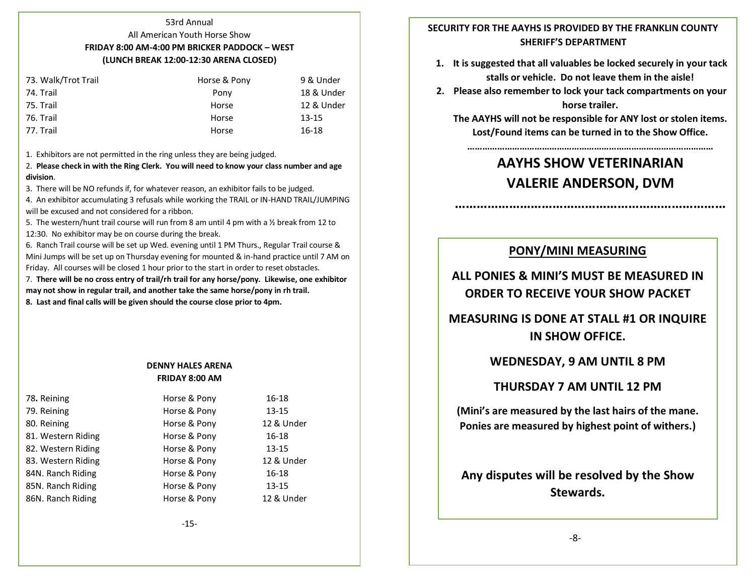#### 53rd Annual

# All American Youth Horse Show **FRIDAY 8:00 AM-4:00 PM BRICKER PADDOCK – WEST (LUNCH BREAK 12:00-12:30 ARENA CLOSED)**

| 73. Walk/Trot Trail | Horse & Pony | 9 & Under  |
|---------------------|--------------|------------|
| 74. Trail           | Pony         | 18 & Under |
| 75. Trail           | Horse        | 12 & Under |
| 76. Trail           | Horse        | $13 - 15$  |
| 77. Trail           | Horse        | 16-18      |
|                     |              |            |

1. Exhibitors are not permitted in the ring unless they are being judged.

2. **Please check in with the Ring Clerk. You will need to know your class number and age division**.

3. There will be NO refunds if, for whatever reason, an exhibitor fails to be judged.

4. An exhibitor accumulating 3 refusals while working the TRAIL or IN-HAND TRAIL/JUMPING will be excused and not considered for a ribbon.

5. The western/hunt trail course will run from 8 am until 4 pm with a  $\frac{1}{2}$  break from 12 to 12:30. No exhibitor may be on course during the break.

6. Ranch Trail course will be set up Wed. evening until 1 PM Thurs., Regular Trail course & Mini Jumps will be set up on Thursday evening for mounted & in-hand practice until 7 AM on Friday. All courses will be closed 1 hour prior to the start in order to reset obstacles.

7. **There will be no cross entry of trail/rh trail for any horse/pony. Likewise, one exhibitor may not show in regular trail, and another take the same horse/pony in rh trail.** 

**8. Last and final calls will be given should the course close prior to 4pm.**

# **DENNY HALES ARENA FRIDAY 8:00 AM**

| 78. Reining        | Horse & Pony | 16-18      |
|--------------------|--------------|------------|
| 79. Reining        | Horse & Pony | 13-15      |
| 80. Reining        | Horse & Pony | 12 & Under |
| 81. Western Riding | Horse & Pony | 16-18      |
| 82. Western Riding | Horse & Pony | $13 - 15$  |
| 83. Western Riding | Horse & Pony | 12 & Under |
| 84N. Ranch Riding  | Horse & Pony | 16-18      |
| 85N. Ranch Riding  | Horse & Pony | 13-15      |
| 86N. Ranch Riding  | Horse & Pony | 12 & Under |
|                    |              |            |

# **SECURITY FOR THE AAYHS IS PROVIDED BY THE FRANKLIN COUNTY SHERIFF'S DEPARTMENT**

- **1. It is suggested that all valuables be locked securely in your tack stalls or vehicle. Do not leave them in the aisle!**
- **2. Please also remember to lock your tack compartments on your horse trailer.**

**The AAYHS will not be responsible for ANY lost or stolen items. Lost/Found items can be turned in to the Show Office.**

# **AAYHS SHOW VETERINARIAN VALERIE ANDERSON, DVM**

**…………………………………………………………………**

**………………………………………………………………………………………**

# **PONY/MINI MEASURING**

**ALL PONIES & MINI'S MUST BE MEASURED IN ORDER TO RECEIVE YOUR SHOW PACKET**

**MEASURING IS DONE AT STALL #1 OR INQUIRE IN SHOW OFFICE.**

# **WEDNESDAY, 9 AM UNTIL 8 PM**

# **THURSDAY 7 AM UNTIL 12 PM**

**(Mini's are measured by the last hairs of the mane. Ponies are measured by highest point of withers.)**

**Any disputes will be resolved by the Show Stewards.**

### -8-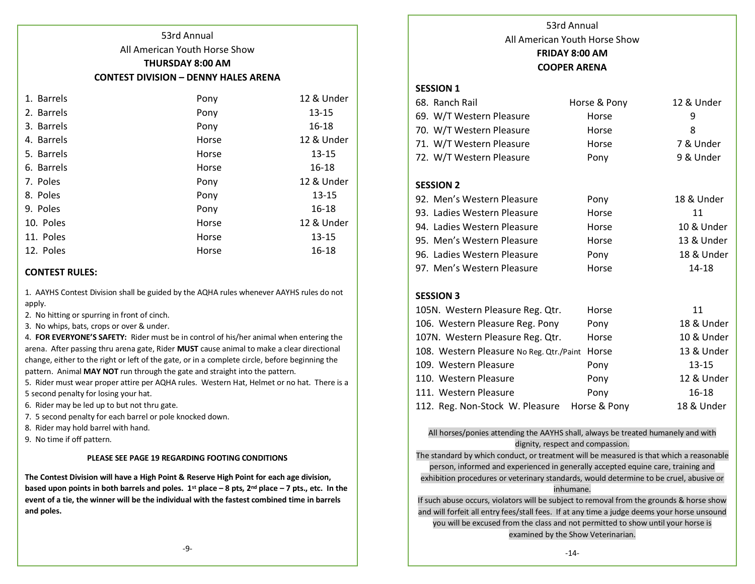# All American Youth Horse Show **THURSDAY 8:00 AM**

53rd Annual

# **CONTEST DIVISION – DENNY HALES ARENA**

| 1. Barrels | Pony  | 12 & Under |
|------------|-------|------------|
| 2. Barrels | Pony  | $13 - 15$  |
| 3. Barrels | Pony  | 16-18      |
| 4. Barrels | Horse | 12 & Under |
| 5. Barrels | Horse | $13 - 15$  |
| 6. Barrels | Horse | $16 - 18$  |
| 7. Poles   | Pony  | 12 & Under |
| 8. Poles   | Pony  | $13 - 15$  |
| 9. Poles   | Pony  | $16 - 18$  |
| 10. Poles  | Horse | 12 & Under |
| 11. Poles  | Horse | $13 - 15$  |
| 12. Poles  | Horse | $16 - 18$  |

# **CONTEST RULES:**

1. AAYHS Contest Division shall be guided by the AQHA rules whenever AAYHS rules do not apply.

- 2. No hitting or spurring in front of cinch.
- 3. No whips, bats, crops or over & under.

4. **FOR EVERYONE'S SAFETY:** Rider must be in control of his/her animal when entering the arena. After passing thru arena gate, Rider **MUST** cause animal to make a clear directional change, either to the right or left of the gate, or in a complete circle, before beginning the pattern. Animal **MAY NOT** run through the gate and straight into the pattern.

5. Rider must wear proper attire per AQHA rules. Western Hat, Helmet or no hat. There is a 5 second penalty for losing your hat.

- 6. Rider may be led up to but not thru gate.
- 7. 5 second penalty for each barrel or pole knocked down.
- 8. Rider may hold barrel with hand.
- 9. No time if off pattern.

### **PLEASE SEE PAGE 19 REGARDING FOOTING CONDITIONS**

**The Contest Division will have a High Point & Reserve High Point for each age division, based upon points in both barrels and poles. 1st place – 8 pts, 2nd place – 7 pts., etc. In the event of a tie, the winner will be the individual with the fastest combined time in barrels and poles.**

53rd Annual All American Youth Horse Show **FRIDAY 8:00 AM COOPER ARENA**

# **SESSION 1**

| 68. Ranch Rail                   | Horse & Pony | 12 & Under |
|----------------------------------|--------------|------------|
| 69. W/T Western Pleasure         | Horse        | 9          |
| 70. W/T Western Pleasure         | Horse        | 8          |
| 71. W/T Western Pleasure         | Horse        | 7 & Under  |
| 72. W/T Western Pleasure         | Pony         | 9 & Under  |
|                                  |              |            |
| <b>SESSION 2</b>                 |              |            |
| 92. Men's Western Pleasure       | Pony         | 18 & Under |
| 93. Ladies Western Pleasure      | Horse        | 11         |
| 94. Ladies Western Pleasure      | Horse        | 10 & Under |
| 95. Men's Western Pleasure       | Horse        | 13 & Under |
| 96. Ladies Western Pleasure      | Pony         | 18 & Under |
| 97. Men's Western Pleasure       | Horse        | 14-18      |
|                                  |              |            |
| <b>SESSION 3</b>                 |              |            |
| 105N. Western Pleasure Reg. Qtr. | Horse        | 11         |
| 106. Western Pleasure Reg. Pony  | Pony         | 18 & Under |
|                                  |              |            |

| 107N. Western Pleasure Reg. Qtr.               | Horse        | 10 & Under |
|------------------------------------------------|--------------|------------|
| 108. Western Pleasure No Reg. Qtr./Paint Horse |              | 13 & Under |
| 109. Western Pleasure                          | Pony         | $13 - 15$  |
| 110. Western Pleasure                          | Pony         | 12 & Under |
| 111. Western Pleasure                          | Pony         | 16-18      |
| 112. Reg. Non-Stock W. Pleasure                | Horse & Pony | 18 & Under |

All horses/ponies attending the AAYHS shall, always be treated humanely and with dignity, respect and compassion.

The standard by which conduct, or treatment will be measured is that which a reasonable

person, informed and experienced in generally accepted equine care, training and exhibition procedures or veterinary standards, would determine to be cruel, abusive or inhumane.

If such abuse occurs, violators will be subject to removal from the grounds & horse show and will forfeit all entry fees/stall fees. If at any time a judge deems your horse unsound you will be excused from the class and not permitted to show until your horse is examined by the Show Veterinarian.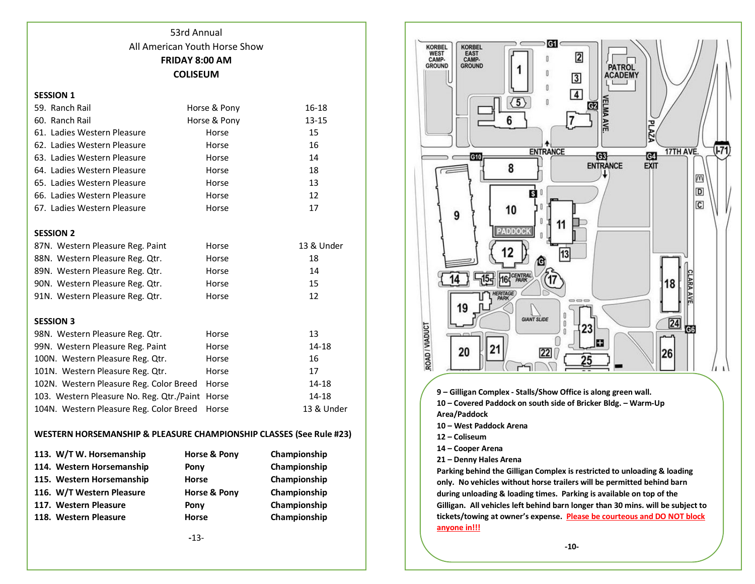# 53rd Annual All American Youth Horse Show **FRIDAY 8:00 AM COLISEUM**

### **SESSION 1**

| 59. Ranch Rail                            | Horse & Pony | 16-18      |
|-------------------------------------------|--------------|------------|
| 60. Ranch Rail                            | Horse & Pony | $13 - 15$  |
| 61. Ladies Western Pleasure               | Horse        | 15         |
| 62. Ladies Western Pleasure               | Horse        | 16         |
| 63. Ladies Western Pleasure               | Horse        | 14         |
| 64. Ladies Western Pleasure               | Horse        | 18         |
| 65. Ladies Western Pleasure               | Horse        | 13         |
| 66. Ladies Western Pleasure               | Horse        | 12         |
| 67. Ladies Western Pleasure               | Horse        | 17         |
|                                           |              |            |
| <b>SESSION 2</b>                          |              |            |
| 87N. Western Pleasure Reg. Paint          | Horse        | 13 & Under |
| 88N. Western Pleasure Reg. Qtr.           | Horse        | 18         |
| 89N. Western Pleasure Reg. Qtr.           | Horse        | 14         |
| 90N. Western Pleasure Reg. Qtr.           | Horse        | 15         |
| 91N. Western Pleasure Reg. Qtr.           | Horse        | 12         |
|                                           |              |            |
| <b>SESSION 3</b>                          |              |            |
| 98N. Western Pleasure Reg. Qtr.           | Horse        | 13         |
| 99N. Western Pleasure Reg. Paint          | Horse        | 14-18      |
| 100N. Western Pleasure Reg. Qtr.          | Horse        | 16         |
| 101N. Western Pleasure Reg. Qtr.          | Horse        | 17         |
| 102N. Western Pleasure Reg. Color Breed   | Horse        | 14-18      |
| 103. Western Pleasure No. Reg. Qtr./Paint | Horse        | 14-18      |
| 104N. Western Pleasure Reg. Color Breed   | Horse        | 13 & Under |

# **WESTERN HORSEMANSHIP & PLEASURE CHAMPIONSHIP CLASSES (See Rule #23)**

| 113. W/T W. Horsemanship  | Horse & Pony | Championship |
|---------------------------|--------------|--------------|
| 114. Western Horsemanship | Pony         | Championship |
| 115. Western Horsemanship | <b>Horse</b> | Championship |
| 116. W/T Western Pleasure | Horse & Pony | Championship |
| 117. Western Pleasure     | Pony         | Championship |
| 118. Western Pleasure     | <b>Horse</b> | Championship |
|                           |              |              |



**9 – Gilligan Complex - Stalls/Show Office is along green wall.** 

**10 – Covered Paddock on south side of Bricker Bldg. – Warm-Up Area/Paddock** 

- **10 – West Paddock Arena**
- **12 – Coliseum**
- **14 – Cooper Arena**
- **21 – Denny Hales Arena**

**Parking behind the Gilligan Complex is restricted to unloading & loading only. No vehicles without horse trailers will be permitted behind barn during unloading & loading times. Parking is available on top of the Gilligan. All vehicles left behind barn longer than 30 mins. will be subject to tickets/towing at owner's expense. Please be courteous and DO NOT block anyone in!!!**